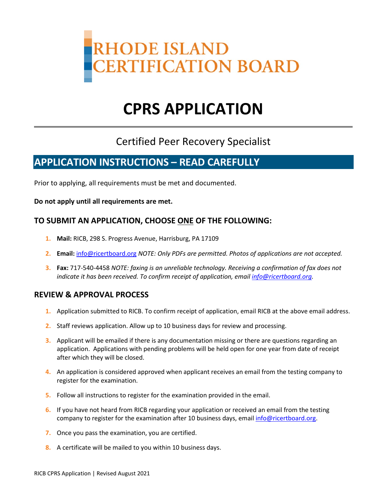

# **CPRS APPLICATION**

## Certified Peer Recovery Specialist

## **APPLICATION INSTRUCTIONS – READ CAREFULLY**

Prior to applying, all requirements must be met and documented.

**Do not apply until all requirements are met.**

### **TO SUBMIT AN APPLICATION, CHOOSE ONE OF THE FOLLOWING:**

- **1. Mail:** RICB, 298 S. Progress Avenue, Harrisburg, PA 17109
- **2. Email:** [info@ricertboard.org](mailto:info@ricertboard.org) *NOTE: Only PDFs are permitted. Photos of applications are not accepted.*
- **3. Fax:** 717-540-4458 *NOTE: faxing is an unreliable technology. Receiving a confirmation of fax does not indicate it has been received. To confirm receipt of application, emai[l info@ricertboard.org.](mailto:info@ricertboard.org)*

#### **REVIEW & APPROVAL PROCESS**

- **1.** Application submitted to RICB. To confirm receipt of application, email RICB at the above email address.
- **2.** Staff reviews application. Allow up to 10 business days for review and processing.
- **3.** Applicant will be emailed if there is any documentation missing or there are questions regarding an application. Applications with pending problems will be held open for one year from date of receipt after which they will be closed.
- **4.** An application is considered approved when applicant receives an email from the testing company to register for the examination.
- **5.** Follow all instructions to register for the examination provided in the email.
- **6.** If you have not heard from RICB regarding your application or received an email from the testing company to register for the examination after 10 business days, emai[l info@ricertboard.org.](mailto:info@ricertboard.org)
- **7.** Once you pass the examination, you are certified.
- **8.** A certificate will be mailed to you within 10 business days.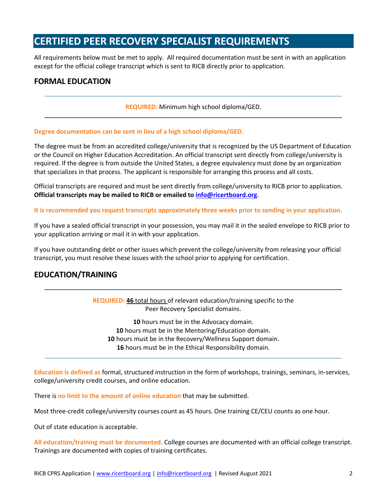## **CERTIFIED PEER RECOVERY SPECIALIST REQUIREMENTS**

All requirements below must be met to apply. All required documentation must be sent in with an application except for the official college transcript which is sent to RICB directly prior to application.

#### **FORMAL EDUCATION**

**REQUIRED:** Minimum high school diploma/GED.

#### **Degree documentation can be sent in lieu of a high school diploma/GED.**

The degree must be from an accredited college/university that is recognized by the US Department of Education or the Council on Higher Education Accreditation. An official transcript sent directly from college/university is required. If the degree is from outside the United States, a degree equivalency must done by an organization that specializes in that process. The applicant is responsible for arranging this process and all costs.

Official transcripts are required and must be sent directly from college/university to RICB prior to application. **Official transcripts may be mailed to RICB or emailed t[o info@ricertboard.org](mailto:info@pacertboard.org)**.

**It is recommended you request transcripts approximately three weeks prior to sending in your application.** 

If you have a sealed official transcript in your possession, you may mail it in the sealed envelope to RICB prior to your application arriving or mail it in with your application.

If you have outstanding debt or other issues which prevent the college/university from releasing your official transcript, you must resolve these issues with the school prior to applying for certification.

### **EDUCATION/TRAINING**

**REQUIRED: 46** total hours of relevant education/training specific to the Peer Recovery Specialist domains.

 hours must be in the Advocacy domain. hours must be in the Mentoring/Education domain. hours must be in the Recovery/Wellness Support domain. hours must be in the Ethical Responsibility domain.

**Education is defined as** formal, structured instruction in the form of workshops, trainings, seminars, in-services, college/university credit courses, and online education.

There is **no limit to the amount of online education** that may be submitted.

Most three-credit college/university courses count as 45 hours. One training CE/CEU counts as one hour.

Out of state education is acceptable.

**All education/training must be documented.** College courses are documented with an official college transcript. Trainings are documented with copies of training certificates.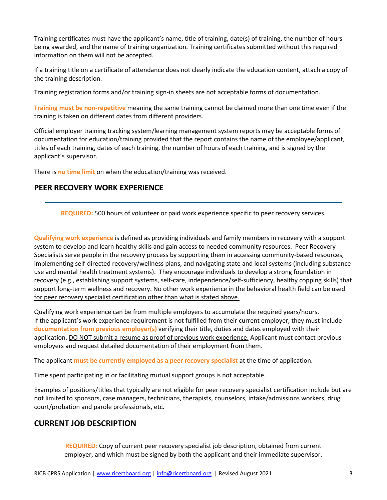Training certificates must have the applicant's name, title of training, date(s) of training, the number of hours being awarded, and the name of training organization. Training certificates submitted without this required information on them will not be accepted.

If a training title on a certificate of attendance does not clearly indicate the education content, attach a copy of the training description.

Training registration forms and/or training sign-in sheets are not acceptable forms of documentation.

**Training must be non-repetitive** meaning the same training cannot be claimed more than one time even if the training is taken on different dates from different providers.

Official employer training tracking system/learning management system reports may be acceptable forms of documentation for education/training provided that the report contains the name of the employee/applicant, titles of each training, dates of each training, the number of hours of each training, and is signed by the applicant's supervisor.

There is **no time limit** on when the education/training was received.

#### **PEER RECOVERY WORK EXPERIENCE**

**REQUIRED:** 500 hours of volunteer or paid work experience specific to peer recovery services.

**Qualifying work experience** is defined as providing individuals and family members in recovery with a support system to develop and learn healthy skills and gain access to needed community resources. Peer Recovery Specialists serve people in the recovery process by supporting them in accessing community-based resources, implementing self-directed recovery/wellness plans, and navigating state and local systems (including substance use and mental health treatment systems). They encourage individuals to develop a strong foundation in recovery (e.g., establishing support systems, self-care, independence/self-sufficiency, healthy copping skills) that support long-term wellness and recovery. No other work experience in the behavioral health field can be used for peer recovery specialist certification other than what is stated above.

Qualifying work experience can be from multiple employers to accumulate the required years/hours. If the applicant's work experience requirement is not fulfilled from their current employer, they must include **documentation from previous employer(s)** verifying their title, duties and dates employed with their application. DO NOT submit a resume as proof of previous work experience. Applicant must contact previous employers and request detailed documentation of their employment from them.

The applicant **must be currently employed as a peer recovery specialist** at the time of application.

Time spent participating in or facilitating mutual support groups is not acceptable.

Examples of positions/titles that typically are not eligible for peer recovery specialist certification include but are not limited to sponsors, case managers, technicians, therapists, counselors, intake/admissions workers, drug court/probation and parole professionals, etc.

### **CURRENT JOB DESCRIPTION**

**REQUIRED:** Copy of current peer recovery specialist job description, obtained from current employer, and which must be signed by both the applicant and their immediate supervisor.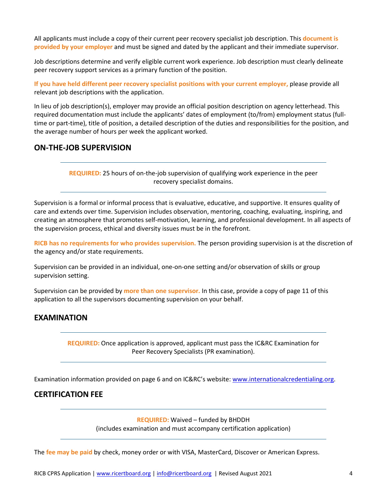All applicants must include a copy of their current peer recovery specialist job description. This **document is provided by your employer** and must be signed and dated by the applicant and their immediate supervisor.

Job descriptions determine and verify eligible current work experience. Job description must clearly delineate peer recovery support services as a primary function of the position.

**If you have held different peer recovery specialist positions with your current employer,** please provide all relevant job descriptions with the application.

In lieu of job description(s), employer may provide an official position description on agency letterhead. This required documentation must include the applicants' dates of employment (to/from) employment status (fulltime or part-time), title of position, a detailed description of the duties and responsibilities for the position, and the average number of hours per week the applicant worked.

#### **ON-THE-JOB SUPERVISION**

**REQUIRED:** 25 hours of on-the-job supervision of qualifying work experience in the peer recovery specialist domains.

Supervision is a formal or informal process that is evaluative, educative, and supportive. It ensures quality of care and extends over time. Supervision includes observation, mentoring, coaching, evaluating, inspiring, and creating an atmosphere that promotes self-motivation, learning, and professional development. In all aspects of the supervision process, ethical and diversity issues must be in the forefront.

**RICB has no requirements for who provides supervision.** The person providing supervision is at the discretion of the agency and/or state requirements.

Supervision can be provided in an individual, one-on-one setting and/or observation of skills or group supervision setting.

Supervision can be provided by **more than one supervisor.** In this case, provide a copy of page 11 of this application to all the supervisors documenting supervision on your behalf.

### **EXAMINATION**

**REQUIRED:** Once application is approved, applicant must pass the IC&RC Examination for Peer Recovery Specialists (PR examination).

Examination information provided on page 6 and on IC&RC's website: [www.internationalcredentialing.org.](http://www.internationalcredentialing.org/)

#### **CERTIFICATION FEE**

**REQUIRED:** Waived – funded by BHDDH

(includes examination and must accompany certification application)

The **fee may be paid** by check, money order or with VISA, MasterCard, Discover or American Express.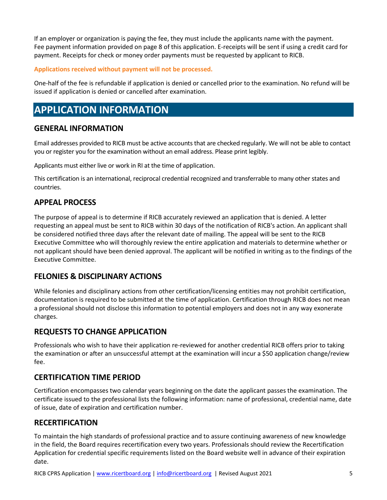If an employer or organization is paying the fee, they must include the applicants name with the payment. Fee payment information provided on page 8 of this application. E-receipts will be sent if using a credit card for payment. Receipts for check or money order payments must be requested by applicant to RICB.

#### **Applications received without payment will not be processed.**

One-half of the fee is refundable if application is denied or cancelled prior to the examination. No refund will be issued if application is denied or cancelled after examination.

## **APPLICATION INFORMATION**

#### **GENERAL INFORMATION**

Email addresses provided to RICB must be active accounts that are checked regularly. We will not be able to contact you or register you for the examination without an email address. Please print legibly.

Applicants must either live or work in RI at the time of application.

This certification is an international, reciprocal credential recognized and transferrable to many other states and countries.

### **APPEAL PROCESS**

The purpose of appeal is to determine if RICB accurately reviewed an application that is denied. A letter requesting an appeal must be sent to RICB within 30 days of the notification of RICB's action. An applicant shall be considered notified three days after the relevant date of mailing. The appeal will be sent to the RICB Executive Committee who will thoroughly review the entire application and materials to determine whether or not applicant should have been denied approval. The applicant will be notified in writing as to the findings of the Executive Committee.

#### **FELONIES & DISCIPLINARY ACTIONS**

While felonies and disciplinary actions from other certification/licensing entities may not prohibit certification, documentation is required to be submitted at the time of application. Certification through RICB does not mean a professional should not disclose this information to potential employers and does not in any way exonerate charges.

#### **REQUESTS TO CHANGE APPLICATION**

Professionals who wish to have their application re-reviewed for another credential RICB offers prior to taking the examination or after an unsuccessful attempt at the examination will incur a \$50 application change/review fee.

### **CERTIFICATION TIME PERIOD**

Certification encompasses two calendar years beginning on the date the applicant passes the examination. The certificate issued to the professional lists the following information: name of professional, credential name, date of issue, date of expiration and certification number.

#### **RECERTIFICATION**

To maintain the high standards of professional practice and to assure continuing awareness of new knowledge in the field, the Board requires recertification every two years. Professionals should review the Recertification Application for credential specific requirements listed on the Board website well in advance of their expiration date.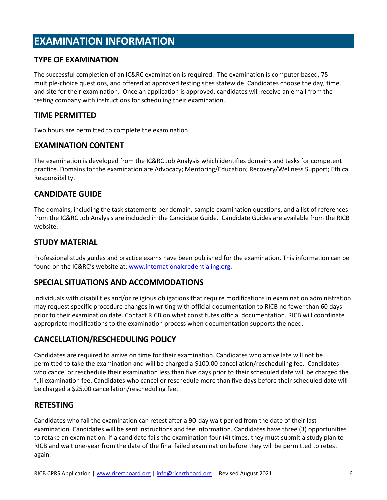## **EXAMINATION INFORMATION**

### **TYPE OF EXAMINATION**

The successful completion of an IC&RC examination is required. The examination is computer based, 75 multiple-choice questions, and offered at approved testing sites statewide. Candidates choose the day, time, and site for their examination. Once an application is approved, candidates will receive an email from the testing company with instructions for scheduling their examination.

#### **TIME PERMITTED**

Two hours are permitted to complete the examination.

### **EXAMINATION CONTENT**

The examination is developed from the IC&RC Job Analysis which identifies domains and tasks for competent practice. Domains for the examination are Advocacy; Mentoring/Education; Recovery/Wellness Support; Ethical Responsibility.

### **CANDIDATE GUIDE**

The domains, including the task statements per domain, sample examination questions, and a list of references from the IC&RC Job Analysis are included in the Candidate Guide. Candidate Guides are available from the RICB website.

### **STUDY MATERIAL**

Professional study guides and practice exams have been published for the examination. This information can be found on the IC&RC's website at: [www.internationalcredentialing.org.](http://www.internationalcredentialing.org/)

### **SPECIAL SITUATIONS AND ACCOMMODATIONS**

Individuals with disabilities and/or religious obligations that require modifications in examination administration may request specific procedure changes in writing with official documentation to RICB no fewer than 60 days prior to their examination date. Contact RICB on what constitutes official documentation. RICB will coordinate appropriate modifications to the examination process when documentation supports the need.

## **CANCELLATION/RESCHEDULING POLICY**

Candidates are required to arrive on time for their examination. Candidates who arrive late will not be permitted to take the examination and will be charged a \$100.00 cancellation/rescheduling fee. Candidates who cancel or reschedule their examination less than five days prior to their scheduled date will be charged the full examination fee. Candidates who cancel or reschedule more than five days before their scheduled date will be charged a \$25.00 cancellation/rescheduling fee.

#### **RETESTING**

Candidates who fail the examination can retest after a 90-day wait period from the date of their last examination. Candidates will be sent instructions and fee information. Candidates have three (3) opportunities to retake an examination. If a candidate fails the examination four (4) times, they must submit a study plan to RICB and wait one-year from the date of the final failed examination before they will be permitted to retest again.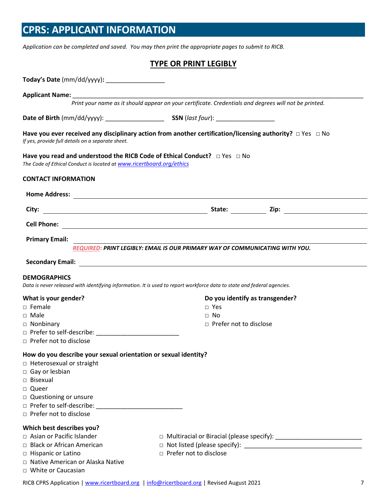## **CPRS: APPLICANT INFORMATION**

*Application can be completed and saved. You may then print the appropriate pages to submit to RICB.*

#### **TYPE OR PRINT LEGIBLY**

| Today's Date (mm/dd/yyyy):                                           |                                                                                                                         |                                                                                 |
|----------------------------------------------------------------------|-------------------------------------------------------------------------------------------------------------------------|---------------------------------------------------------------------------------|
|                                                                      |                                                                                                                         |                                                                                 |
|                                                                      | Print your name as it should appear on your certificate. Credentials and degrees will not be printed.                   |                                                                                 |
|                                                                      |                                                                                                                         |                                                                                 |
| If yes, provide full details on a separate sheet.                    | Have you ever received any disciplinary action from another certification/licensing authority? $\Box$ Yes $\Box$ No     |                                                                                 |
| The Code of Ethical Conduct is located at www.ricertboard.org/ethics | Have you read and understood the RICB Code of Ethical Conduct? □ Yes □ No                                               |                                                                                 |
| <b>CONTACT INFORMATION</b>                                           |                                                                                                                         |                                                                                 |
|                                                                      |                                                                                                                         |                                                                                 |
| City:                                                                |                                                                                                                         | State: Zip: Zip:                                                                |
|                                                                      |                                                                                                                         |                                                                                 |
| <b>Primary Email:</b>                                                |                                                                                                                         |                                                                                 |
|                                                                      | REQUIRED: PRINT LEGIBLY: EMAIL IS OUR PRIMARY WAY OF COMMUNICATING WITH YOU.                                            |                                                                                 |
|                                                                      |                                                                                                                         |                                                                                 |
| <b>DEMOGRAPHICS</b>                                                  | Data is never released with identifying information. It is used to report workforce data to state and federal agencies. |                                                                                 |
| What is your gender?                                                 |                                                                                                                         | Do you identify as transgender?                                                 |
| $\Box$ Female                                                        | $\Box$ Yes                                                                                                              |                                                                                 |
| $\Box$ Male                                                          | $\Box$ No                                                                                                               |                                                                                 |
| $\Box$ Nonbinary                                                     | $\Box$ Prefer not to disclose                                                                                           |                                                                                 |
|                                                                      |                                                                                                                         |                                                                                 |
| $\Box$ Prefer not to disclose                                        |                                                                                                                         |                                                                                 |
| How do you describe your sexual orientation or sexual identity?      |                                                                                                                         |                                                                                 |
| $\Box$ Heterosexual or straight                                      |                                                                                                                         |                                                                                 |
| □ Gay or lesbian                                                     |                                                                                                                         |                                                                                 |
| $\Box$ Bisexual                                                      |                                                                                                                         |                                                                                 |
| □ Queer                                                              |                                                                                                                         |                                                                                 |
| □ Questioning or unsure                                              |                                                                                                                         |                                                                                 |
|                                                                      |                                                                                                                         |                                                                                 |
| □ Prefer not to disclose                                             |                                                                                                                         |                                                                                 |
| Which best describes you?                                            |                                                                                                                         |                                                                                 |
| □ Asian or Pacific Islander                                          |                                                                                                                         | □ Multiracial or Biracial (please specify): ___________________________________ |
| □ Black or African American                                          |                                                                                                                         |                                                                                 |
| □ Hispanic or Latino                                                 | □ Prefer not to disclose                                                                                                |                                                                                 |
| □ Native American or Alaska Native                                   |                                                                                                                         |                                                                                 |
| □ White or Caucasian                                                 |                                                                                                                         |                                                                                 |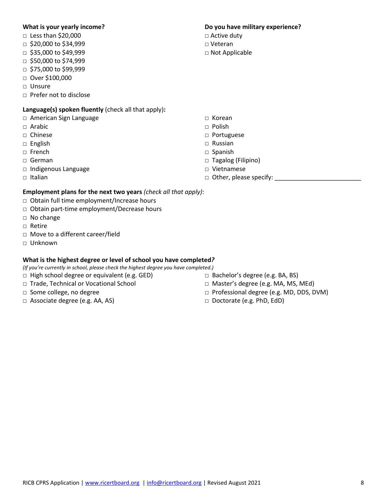#### **What is your yearly income?**

- □ Less than \$20,000
- □ \$20,000 to \$34,999
- □ \$35,000 to \$49,999
- □ \$50,000 to \$74,999
- □ \$75,000 to \$99,999
- □ Over \$100,000
- □ Unsure
- □ Prefer not to disclose

### **Language(s) spoken fluently** (check all that apply)**:**

- □ American Sign Language
- □ Arabic
- □ Chinese
- □ English
- □ French
- □ German
- □ Indigenous Language
- □ Italian

#### **Employment plans for the next two years** *(check all that apply)*:

- □ Obtain full time employment/Increase hours
- □ Obtain part-time employment/Decrease hours
- □ No change
- □ Retire
- □ Move to a different career/field
- □ Unknown

#### **What is the highest degree or level of school you have completed***?*

*(If you're currently in school, please check the highest degree you have completed.)*

- □ High school degree or equivalent (e.g. GED)
- □ Trade, Technical or Vocational School
- □ Some college, no degree
- □ Associate degree (e.g. AA, AS)
- □ Bachelor's degree (e.g. BA, BS)
- □ Master's degree (e.g. MA, MS, MEd)
- □ Professional degree (e.g. MD, DDS, DVM)
- □ Doctorate (e.g. PhD, EdD)

- □ Korean
- □ Polish
- □ Portuguese
- □ Russian
- □ Spanish
- □ Tagalog (Filipino)
- □ Vietnamese
- $\Box$  Other, please specify:

#### **Do you have military experience?**

- □ Active duty
- □ Veteran
- □ Not Applicable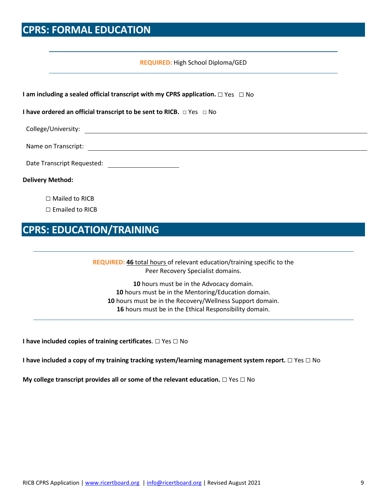## **CPRS: FORMAL EDUCATION**

#### **REQUIRED:** High School Diploma/GED

| I am including a sealed official transcript with my CPRS application. $\square$ Yes $\square$ No |
|--------------------------------------------------------------------------------------------------|
| I have ordered an official transcript to be sent to RICB. □ Yes □ No                             |
|                                                                                                  |
|                                                                                                  |
|                                                                                                  |
| <b>Delivery Method:</b>                                                                          |
| $\Box$ Mailed to RICB                                                                            |
| $\Box$ Emailed to RICB                                                                           |

## **CPRS: EDUCATION/TRAINING**

**REQUIRED: 46** total hours of relevant education/training specific to the Peer Recovery Specialist domains.

 hours must be in the Advocacy domain. hours must be in the Mentoring/Education domain. hours must be in the Recovery/Wellness Support domain. hours must be in the Ethical Responsibility domain.

**I have included copies of training certificates**. □ Yes □ No

**I have included a copy of my training tracking system/learning management system report.** □ Yes □ No

**My college transcript provides all or some of the relevant education.** □ Yes □ No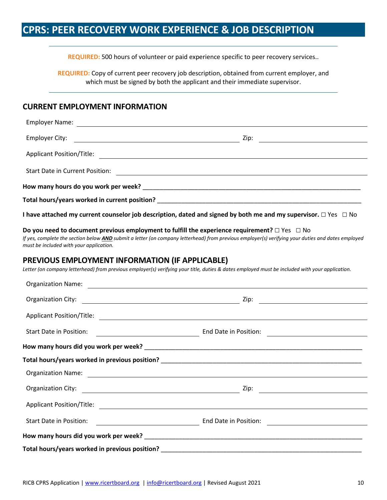## **CPRS: PEER RECOVERY WORK EXPERIENCE & JOB DESCRIPTION**

**REQUIRED:** 500 hours of volunteer or paid experience specific to peer recovery services..

**REQUIRED:** Copy of current peer recovery job description, obtained from current employer, and which must be signed by both the applicant and their immediate supervisor.

#### **CURRENT EMPLOYMENT INFORMATION**

| <b>Employer Name:</b>                                  |                                                                                                                                                                                                                                                              |
|--------------------------------------------------------|--------------------------------------------------------------------------------------------------------------------------------------------------------------------------------------------------------------------------------------------------------------|
| <b>Employer City:</b>                                  | <u> Zip:</u>                                                                                                                                                                                                                                                 |
|                                                        |                                                                                                                                                                                                                                                              |
|                                                        |                                                                                                                                                                                                                                                              |
|                                                        |                                                                                                                                                                                                                                                              |
|                                                        |                                                                                                                                                                                                                                                              |
|                                                        | I have attached my current counselor job description, dated and signed by both me and my supervisor. $\Box$ Yes $\Box$ No                                                                                                                                    |
| must be included with your application.                | Do you need to document previous employment to fulfill the experience requirement? $\Box$ Yes $\Box$ No<br>If yes, complete the section below AND submit a letter (on company letterhead) from previous employer(s) verifying your duties and dates employed |
| <b>PREVIOUS EMPLOYMENT INFORMATION (IF APPLICABLE)</b> | Letter (on company letterhead) from previous employer(s) verifying your title, duties & dates employed must be included with your application.                                                                                                               |
|                                                        | Organization Name: <u>contract and a series of the series of the series of the series of the series of the series of the series of the series of the series of the series of the series of the series of the series of the serie</u>                         |
| Organization City:                                     |                                                                                                                                                                                                                                                              |
|                                                        |                                                                                                                                                                                                                                                              |
| Start Date in Position:                                | End Date in Position:<br><u> 1980 - Jan Samuel Barbara, martin di</u>                                                                                                                                                                                        |
|                                                        |                                                                                                                                                                                                                                                              |
|                                                        |                                                                                                                                                                                                                                                              |
|                                                        |                                                                                                                                                                                                                                                              |
| Organization City:                                     | Zip:                                                                                                                                                                                                                                                         |
| <b>Applicant Position/Title:</b>                       |                                                                                                                                                                                                                                                              |
| Start Date in Position:                                | End Date in Position:<br><u> 1980 - Johann Barn, mars an t-Amerikaansk kommunister (</u><br><u> 1989 - Johann Marie Barn, mars ar breist fan de Fryske kommunent (</u>                                                                                       |
|                                                        |                                                                                                                                                                                                                                                              |
|                                                        |                                                                                                                                                                                                                                                              |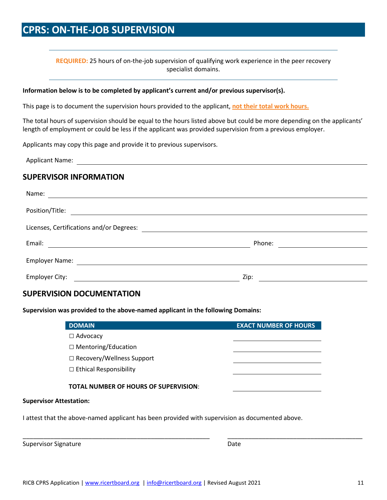## **CPRS: ON-THE-JOB SUPERVISION**

**REQUIRED:** 25 hours of on-the-job supervision of qualifying work experience in the peer recovery specialist domains.

#### **Information below is to be completed by applicant's current and/or previous supervisor(s).**

This page is to document the supervision hours provided to the applicant, **not their total work hours.** 

<u> 1980 - Johann Barn, mars ann an t-Amhain Aonaich an t-Aonaich an t-Aonaich ann an t-Aonaich ann an t-Aonaich</u>

The total hours of supervision should be equal to the hours listed above but could be more depending on the applicants' length of employment or could be less if the applicant was provided supervision from a previous employer.

Applicants may copy this page and provide it to previous supervisors.

Applicant Name:

#### **SUPERVISOR INFORMATION**

| Name:                                                                                                                           |        |
|---------------------------------------------------------------------------------------------------------------------------------|--------|
| Position/Title:                                                                                                                 |        |
| Licenses, Certifications and/or Degrees:                                                                                        |        |
| Email:<br><u> 1989 - Jan Barbara, manazarta bashkar a shekara tshkollari tshkollari tshkollari tshkollari tshkollari tshkol</u> | Phone: |
| Employer Name: The Contract of the Contract of the Contract of the Contract of the Contract of the Contract of                  |        |
| Employer City:                                                                                                                  | Zip:   |

#### **SUPERVISION DOCUMENTATION**

**Supervision was provided to the above-named applicant in the following Domains:**

| <b>DOMAIN</b>                                | <b>EXACT NUMBER OF HOURS</b> |
|----------------------------------------------|------------------------------|
| $\Box$ Advocacy                              |                              |
| $\Box$ Mentoring/Education                   |                              |
| □ Recovery/Wellness Support                  |                              |
| $\Box$ Ethical Responsibility                |                              |
| <b>TOTAL NUMBER OF HOURS OF SUPERVISION:</b> |                              |
| <b>Supervisor Attestation:</b>               |                              |

\_\_\_\_\_\_\_\_\_\_\_\_\_\_\_\_\_\_\_\_\_\_\_\_\_\_\_\_\_\_\_\_\_\_\_\_\_\_\_\_\_\_\_\_\_\_\_\_\_\_\_\_\_\_ \_\_\_\_\_\_\_\_\_\_\_\_\_\_\_\_\_\_\_\_\_\_\_\_\_\_\_\_\_\_\_\_\_\_\_\_\_\_\_

I attest that the above-named applicant has been provided with supervision as documented above.

Supervisor Signature Date Date Date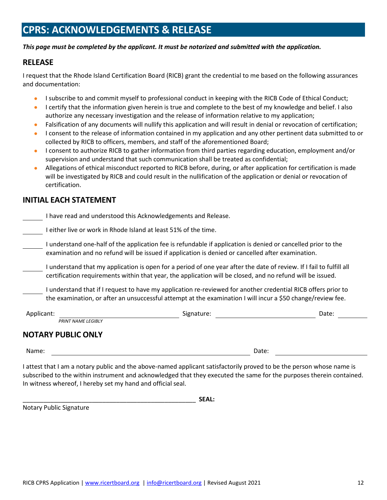## **CPRS: ACKNOWLEDGEMENTS & RELEASE**

#### *This page must be completed by the applicant. It must be notarized and submitted with the application.*

#### **RELEASE**

I request that the Rhode Island Certification Board (RICB) grant the credential to me based on the following assurances and documentation:

- I subscribe to and commit myself to professional conduct in keeping with the RICB Code of Ethical Conduct;
- I certify that the information given herein is true and complete to the best of my knowledge and belief. I also authorize any necessary investigation and the release of information relative to my application;
- Falsification of any documents will nullify this application and will result in denial or revocation of certification;
- I consent to the release of information contained in my application and any other pertinent data submitted to or collected by RICB to officers, members, and staff of the aforementioned Board;
- I consent to authorize RICB to gather information from third parties regarding education, employment and/or supervision and understand that such communication shall be treated as confidential;
- Allegations of ethical misconduct reported to RICB before, during, or after application for certification is made will be investigated by RICB and could result in the nullification of the application or denial or revocation of certification.

#### **INITIAL EACH STATEMENT**

I have read and understood this Acknowledgements and Release.

I either live or work in Rhode Island at least 51% of the time.

I understand one-half of the application fee is refundable if application is denied or cancelled prior to the examination and no refund will be issued if application is denied or cancelled after examination.

I understand that my application is open for a period of one year after the date of review. If I fail to fulfill all certification requirements within that year, the application will be closed, and no refund will be issued.

I understand that if I request to have my application re-reviewed for another credential RICB offers prior to the examination, or after an unsuccessful attempt at the examination I will incur a \$50 change/review fee.

| Applicant:                | Signature: | Date: |
|---------------------------|------------|-------|
| PRINT NAME LEGIBLY        |            |       |
| <b>NOTARY PUBLIC ONLY</b> |            |       |

Name: Date:

I attest that I am a notary public and the above-named applicant satisfactorily proved to be the person whose name is subscribed to the within instrument and acknowledged that they executed the same for the purposes therein contained. In witness whereof, I hereby set my hand and official seal.

\_\_\_\_\_\_\_\_\_\_\_\_\_\_\_\_\_\_\_\_\_\_\_\_\_\_\_\_\_\_\_\_\_\_\_\_\_\_\_\_\_\_\_\_\_\_\_\_\_\_ **SEAL:**

Notary Public Signature